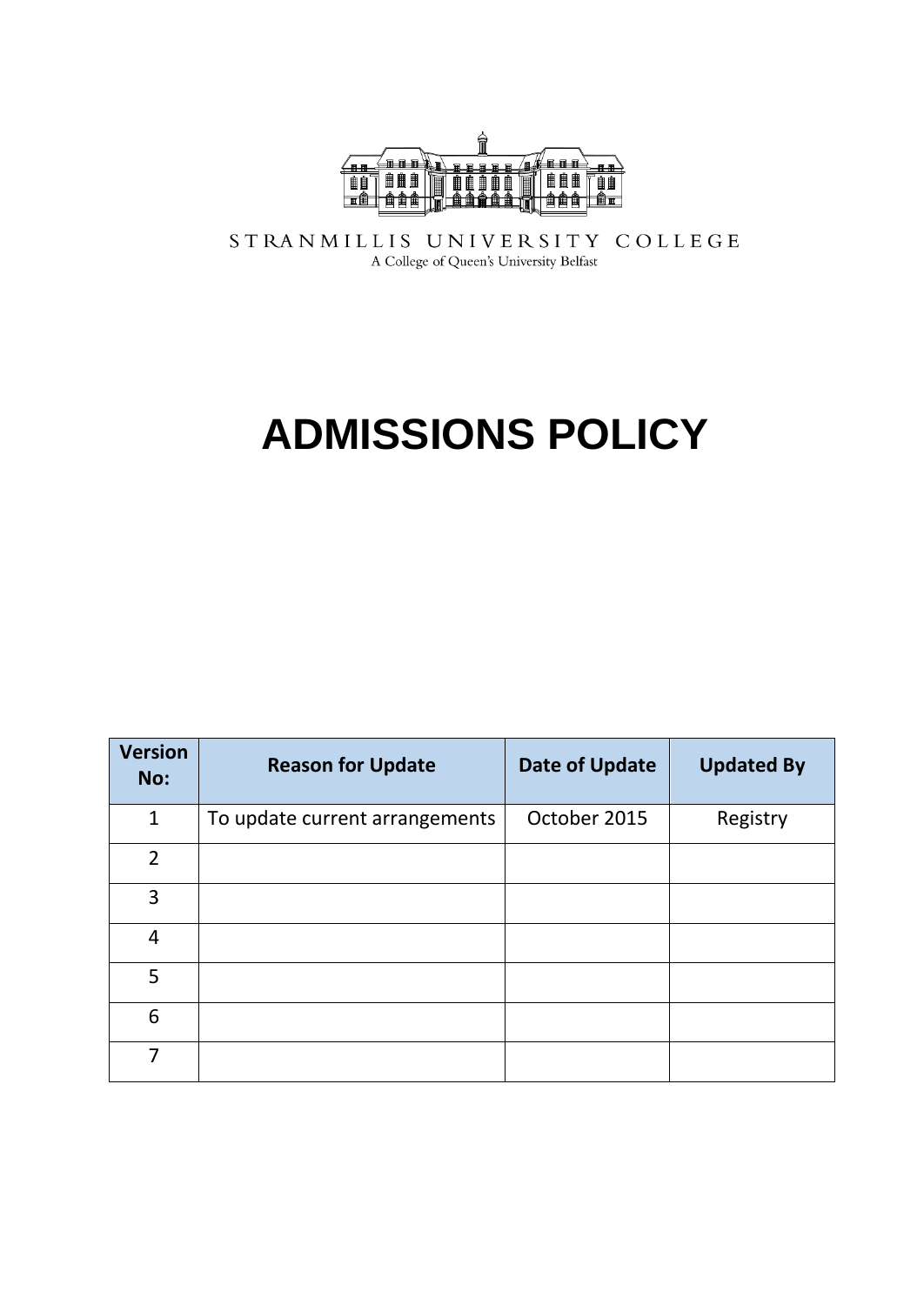

STRANMILLIS UNIVERSITY COLLEGE A College of Queen's University Belfast

# **ADMISSIONS POLICY**

| <b>Version</b><br>No: | <b>Reason for Update</b>       | <b>Date of Update</b> | <b>Updated By</b> |
|-----------------------|--------------------------------|-----------------------|-------------------|
| $\mathbf{1}$          | To update current arrangements | October 2015          | Registry          |
| $\overline{2}$        |                                |                       |                   |
| 3                     |                                |                       |                   |
| 4                     |                                |                       |                   |
| 5                     |                                |                       |                   |
| 6                     |                                |                       |                   |
| 7                     |                                |                       |                   |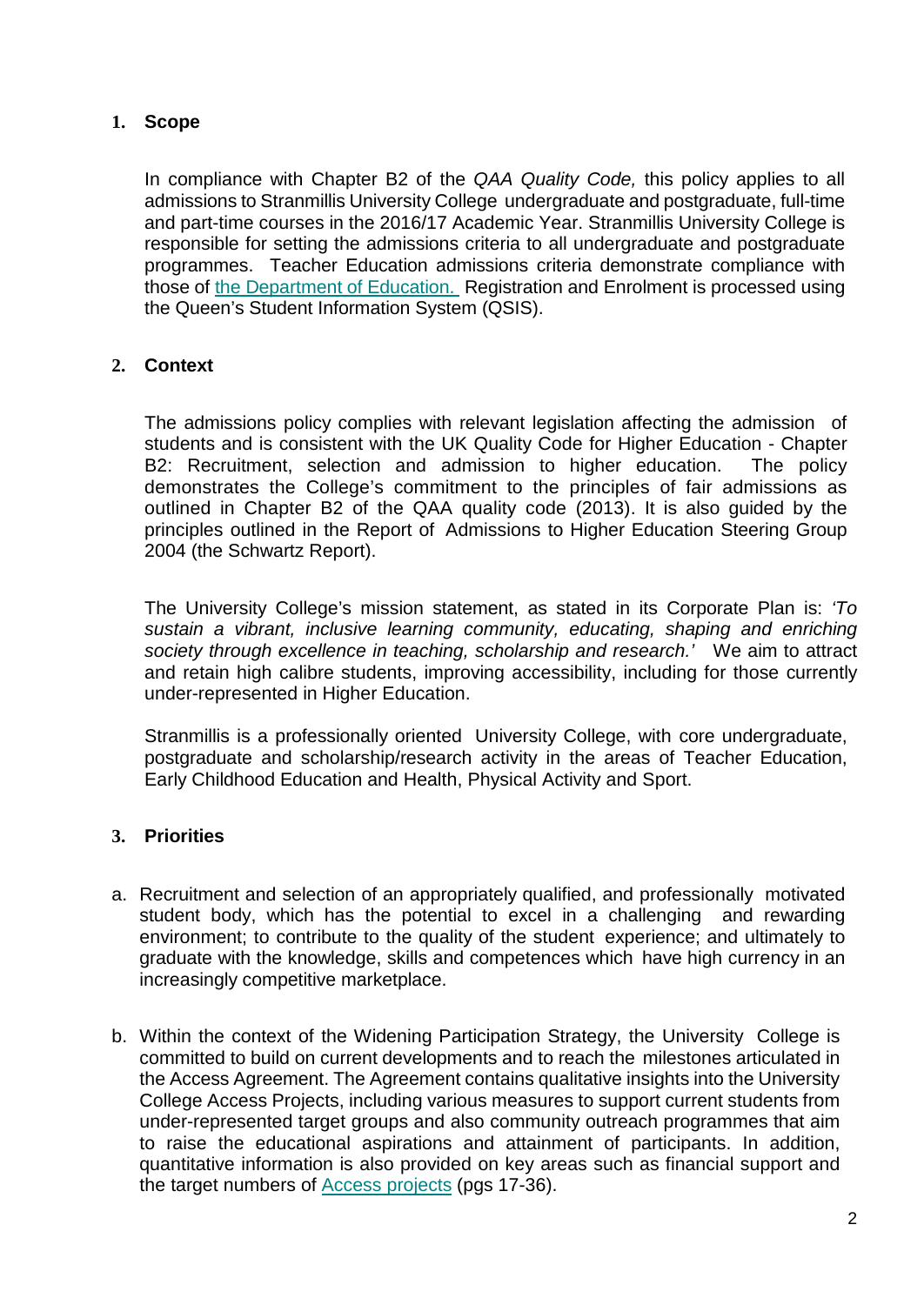## **1. Scope**

In compliance with Chapter B2 of the *QAA Quality Code,* this policy applies to all admissions to Stranmillis University College undergraduate and postgraduate, full-time and part-time courses in the 2016/17 Academic Year. Stranmillis University College is responsible for setting the admissions criteria to all undergraduate and postgraduate programmes. Teacher Education admissions criteria demonstrate compliance with those of [the Department of Education.](https://www.deni.gov.uk/articles/initial-teacher-education-courses-northern-ireland) Registration and Enrolment is processed using the Queen's Student Information System (QSIS).

## **2. Context**

The admissions policy complies with relevant legislation affecting the admission of students and is consistent with the UK Quality Code for Higher Education - Chapter B2: Recruitment, selection and admission to higher education. The policy demonstrates the College's commitment to the principles of fair admissions as outlined in Chapter B2 of the QAA quality code (2013). It is also guided by the principles outlined in the Report of Admissions to Higher Education Steering Group 2004 (the Schwartz Report).

The University College's mission statement, as stated in its Corporate Plan is: *'To sustain a vibrant, inclusive learning community, educating, shaping and enriching society through excellence in teaching, scholarship and research.'* We aim to attract and retain high calibre students, improving accessibility, including for those currently under-represented in Higher Education.

Stranmillis is a professionally oriented University College, with core undergraduate, postgraduate and scholarship/research activity in the areas of Teacher Education, Early Childhood Education and Health, Physical Activity and Sport.

## **3. Priorities**

- a. Recruitment and selection of an appropriately qualified, and professionally motivated student body, which has the potential to excel in a challenging and rewarding environment; to contribute to the quality of the student experience; and ultimately to graduate with the knowledge, skills and competences which have high currency in an increasingly competitive marketplace.
- b. Within the context of the Widening Participation Strategy, the University College is committed to build on current developments and to reach the milestones articulated in the Access Agreement. The Agreement contains qualitative insights into the University College Access Projects, including various measures to support current students from under-represented target groups and also community outreach programmes that aim to raise the educational aspirations and attainment of participants. In addition, quantitative information is also provided on key areas such as financial support and the target numbers of [Access projects](http://www.stran.ac.uk/media/media,412078,en.pdf) (pgs 17-36).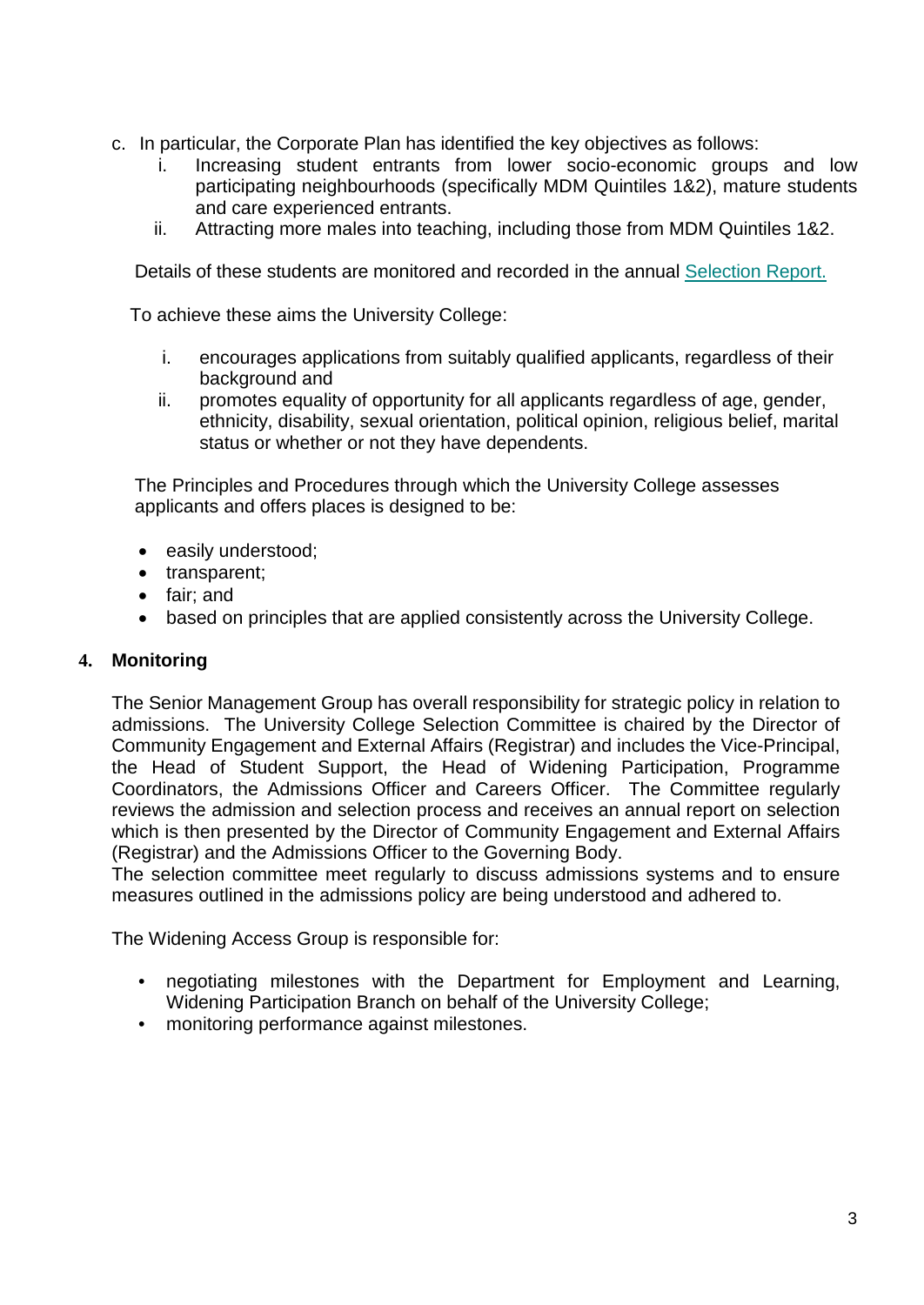- c. In particular, the Corporate Plan has identified the key objectives as follows:
	- i. Increasing student entrants from lower socio-economic groups and low participating neighbourhoods (specifically MDM Quintiles 1&2), mature students and care experienced entrants.
	- ii. Attracting more males into teaching, including those from MDM Quintiles 1&2.

Details of these students are monitored and recorded in the annual [Selection Report.](http://www.stran.ac.uk/media/media,541741,en.pdf)

To achieve these aims the University College:

- i. encourages applications from suitably qualified applicants, regardless of their background and
- ii. promotes equality of opportunity for all applicants regardless of age, gender, ethnicity, disability, sexual orientation, political opinion, religious belief, marital status or whether or not they have dependents.

The Principles and Procedures through which the University College assesses applicants and offers places is designed to be:

- easily understood;
- transparent;
- fair; and
- based on principles that are applied consistently across the University College.

#### **4. Monitoring**

The Senior Management Group has overall responsibility for strategic policy in relation to admissions. The University College Selection Committee is chaired by the Director of Community Engagement and External Affairs (Registrar) and includes the Vice-Principal, the Head of Student Support, the Head of Widening Participation, Programme Coordinators, the Admissions Officer and Careers Officer. The Committee regularly reviews the admission and selection process and receives an annual report on selection which is then presented by the Director of Community Engagement and External Affairs (Registrar) and the Admissions Officer to the Governing Body.

The selection committee meet regularly to discuss admissions systems and to ensure measures outlined in the admissions policy are being understood and adhered to.

The Widening Access Group is responsible for:

- negotiating milestones with the Department for Employment and Learning, Widening Participation Branch on behalf of the University College;
- monitoring performance against milestones.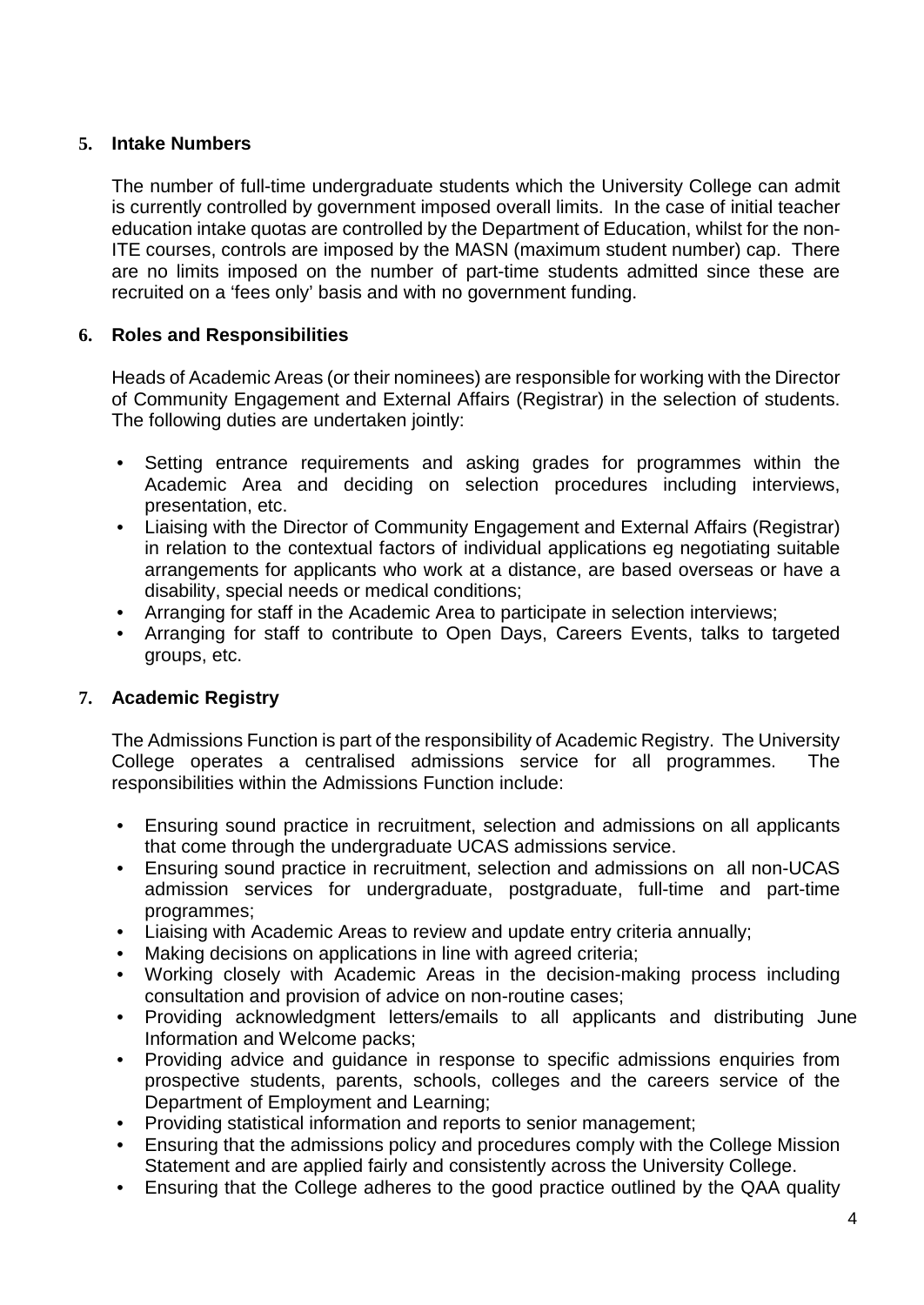## **5. Intake Numbers**

The number of full-time undergraduate students which the University College can admit is currently controlled by government imposed overall limits. In the case of initial teacher education intake quotas are controlled by the Department of Education, whilst for the non-ITE courses, controls are imposed by the MASN (maximum student number) cap. There are no limits imposed on the number of part-time students admitted since these are recruited on a 'fees only' basis and with no government funding.

### **6. Roles and Responsibilities**

Heads of Academic Areas (or their nominees) are responsible for working with the Director of Community Engagement and External Affairs (Registrar) in the selection of students. The following duties are undertaken jointly:

- Setting entrance requirements and asking grades for programmes within the Academic Area and deciding on selection procedures including interviews, presentation, etc.
- Liaising with the Director of Community Engagement and External Affairs (Registrar) in relation to the contextual factors of individual applications eg negotiating suitable arrangements for applicants who work at a distance, are based overseas or have a disability, special needs or medical conditions;
- Arranging for staff in the Academic Area to participate in selection interviews;
- Arranging for staff to contribute to Open Days, Careers Events, talks to targeted groups, etc.

## **7. Academic Registry**

The Admissions Function is part of the responsibility of Academic Registry. The University College operates a centralised admissions service for all programmes. The responsibilities within the Admissions Function include:

- Ensuring sound practice in recruitment, selection and admissions on all applicants that come through the undergraduate UCAS admissions service.
- Ensuring sound practice in recruitment, selection and admissions on all non-UCAS admission services for undergraduate, postgraduate, full-time and part-time programmes;
- Liaising with Academic Areas to review and update entry criteria annually;
- Making decisions on applications in line with agreed criteria;
- Working closely with Academic Areas in the decision-making process including consultation and provision of advice on non-routine cases;
- Providing acknowledgment letters/emails to all applicants and distributing June Information and Welcome packs;
- Providing advice and guidance in response to specific admissions enquiries from prospective students, parents, schools, colleges and the careers service of the Department of Employment and Learning;
- Providing statistical information and reports to senior management;
- Ensuring that the admissions policy and procedures comply with the College Mission Statement and are applied fairly and consistently across the University College.
- Ensuring that the College adheres to the good practice outlined by the QAA quality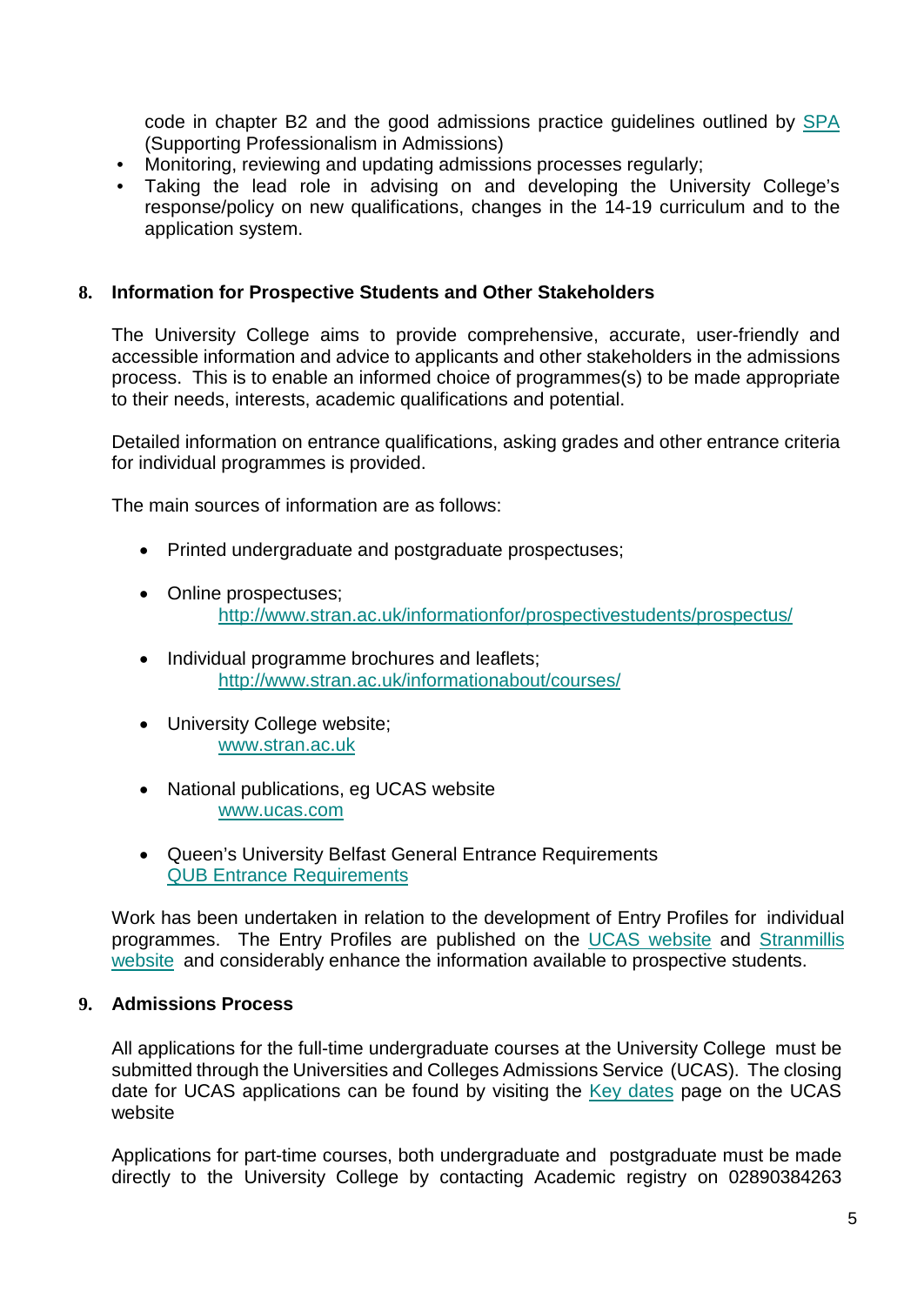code in chapter B2 and the good admissions practice guidelines outlined by [SPA](http://www.spa.ac.uk/support/goodpractice/) (Supporting Professionalism in Admissions)

- Monitoring, reviewing and updating admissions processes regularly;
- Taking the lead role in advising on and developing the University College's response/policy on new qualifications, changes in the 14-19 curriculum and to the application system.

#### **8. Information for Prospective Students and Other Stakeholders**

The University College aims to provide comprehensive, accurate, user-friendly and accessible information and advice to applicants and other stakeholders in the admissions process. This is to enable an informed choice of programmes(s) to be made appropriate to their needs, interests, academic qualifications and potential.

Detailed information on entrance qualifications, asking grades and other entrance criteria for individual programmes is provided.

The main sources of information are as follows:

- Printed undergraduate and postgraduate prospectuses;
- Online prospectuses; <http://www.stran.ac.uk/informationfor/prospectivestudents/prospectus/>
- Individual programme brochures and leaflets; <http://www.stran.ac.uk/informationabout/courses/>
- University College website; [www.stran.ac.uk](http://www.stran.ac.uk/)
- National publications, eg UCAS website [www.ucas.com](http://www.ucas.com/)
- Queen's University Belfast General Entrance Requirements [QUB Entrance Requirements](http://www.qub.ac.uk/directorates/AcademicAffairs/GeneralRegulations/RegulationsforStudents/2-4UndergraduateStudents/2EntranceRequirements/)

Work has been undertaken in relation to the development of Entry Profiles for individual programmes. The Entry Profiles are published on the UCAS [website](http://www.ucas.com/) and [Stranmillis](http://www.stran.ac.uk/informationabout/courses/)  [website](http://www.stran.ac.uk/informationabout/courses/) and considerably enhance the information available to prospective students.

#### **9. Admissions Process**

All applications for the full-time undergraduate courses at the University College must be submitted through the Universities and Colleges Admissions Service (UCAS). The closing date for UCAS applications can be found by visiting the [Key dates](https://www.ucas.com/ucas/undergraduate/apply-and-track/key-dates/2016%232536) page on the UCAS website

Applications for part-time courses, both undergraduate and postgraduate must be made directly to the University College by contacting Academic registry on 02890384263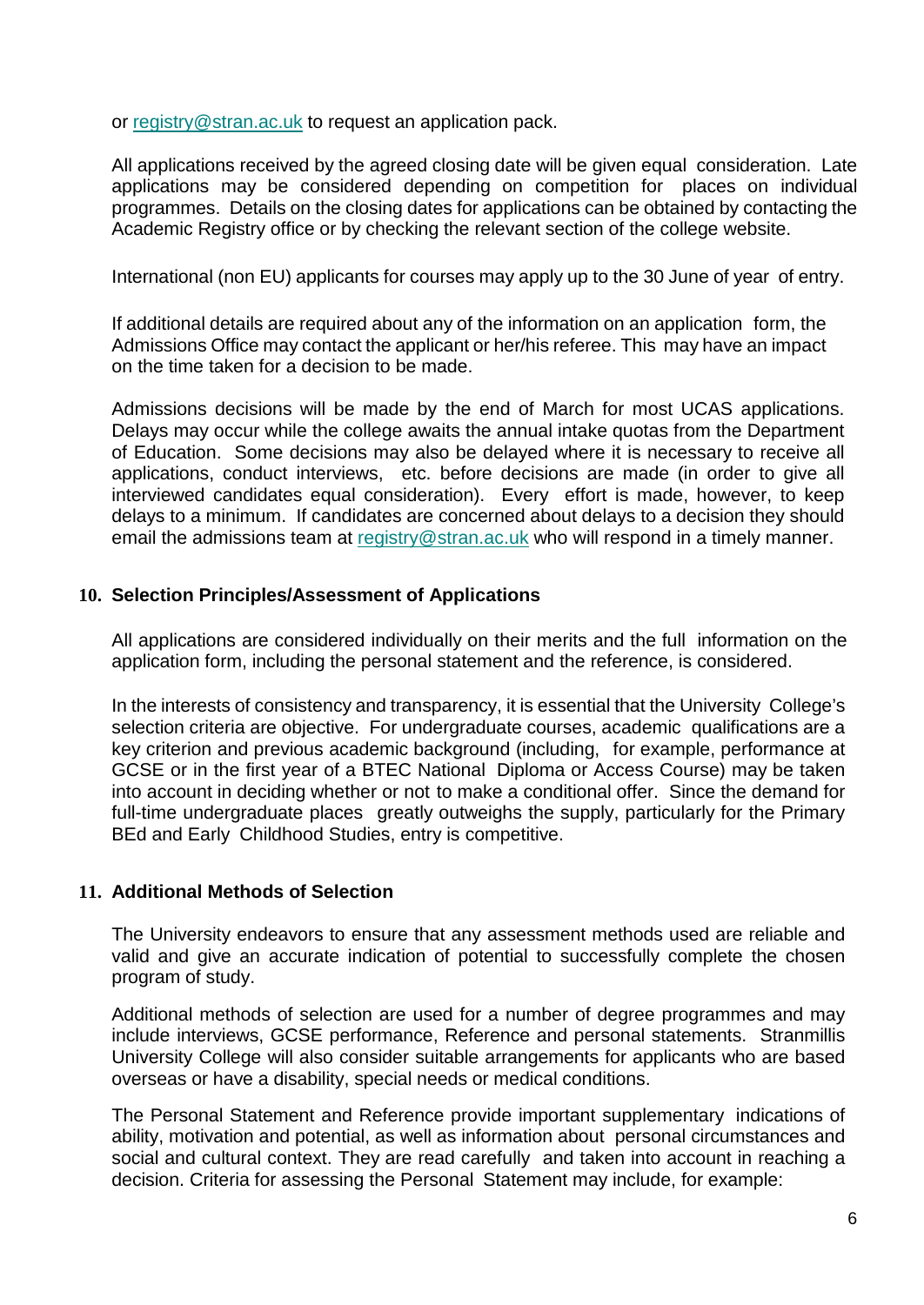or [registry@stran.ac.uk](mailto:registry@stran.ac.uk) to request an application pack.

All applications received by the agreed closing date will be given equal consideration. Late applications may be considered depending on competition for places on individual programmes. Details on the closing dates for applications can be obtained by contacting the Academic Registry office or by checking the relevant section of the college website.

International (non EU) applicants for courses may apply up to the 30 June of year of entry.

If additional details are required about any of the information on an application form, the Admissions Office may contact the applicant or her/his referee. This may have an impact on the time taken for a decision to be made.

Admissions decisions will be made by the end of March for most UCAS applications. Delays may occur while the college awaits the annual intake quotas from the Department of Education. Some decisions may also be delayed where it is necessary to receive all applications, conduct interviews, etc. before decisions are made (in order to give all interviewed candidates equal consideration). Every effort is made, however, to keep delays to a minimum. If candidates are concerned about delays to a decision they should email the admissions team at [registry@stran.ac.uk](mailto:registry@stran.ac.uk) who will respond in a timely manner.

#### **10. Selection Principles/Assessment of Applications**

All applications are considered individually on their merits and the full information on the application form, including the personal statement and the reference, is considered.

In the interests of consistency and transparency, it is essential that the University College's selection criteria are objective. For undergraduate courses, academic qualifications are a key criterion and previous academic background (including, for example, performance at GCSE or in the first year of a BTEC National Diploma or Access Course) may be taken into account in deciding whether or not to make a conditional offer. Since the demand for full-time undergraduate places greatly outweighs the supply, particularly for the Primary BEd and Early Childhood Studies, entry is competitive.

#### **11. Additional Methods of Selection**

The University endeavors to ensure that any assessment methods used are reliable and valid and give an accurate indication of potential to successfully complete the chosen program of study.

Additional methods of selection are used for a number of degree programmes and may include interviews, GCSE performance, Reference and personal statements. Stranmillis University College will also consider suitable arrangements for applicants who are based overseas or have a disability, special needs or medical conditions.

The Personal Statement and Reference provide important supplementary indications of ability, motivation and potential, as well as information about personal circumstances and social and cultural context. They are read carefully and taken into account in reaching a decision. Criteria for assessing the Personal Statement may include, for example: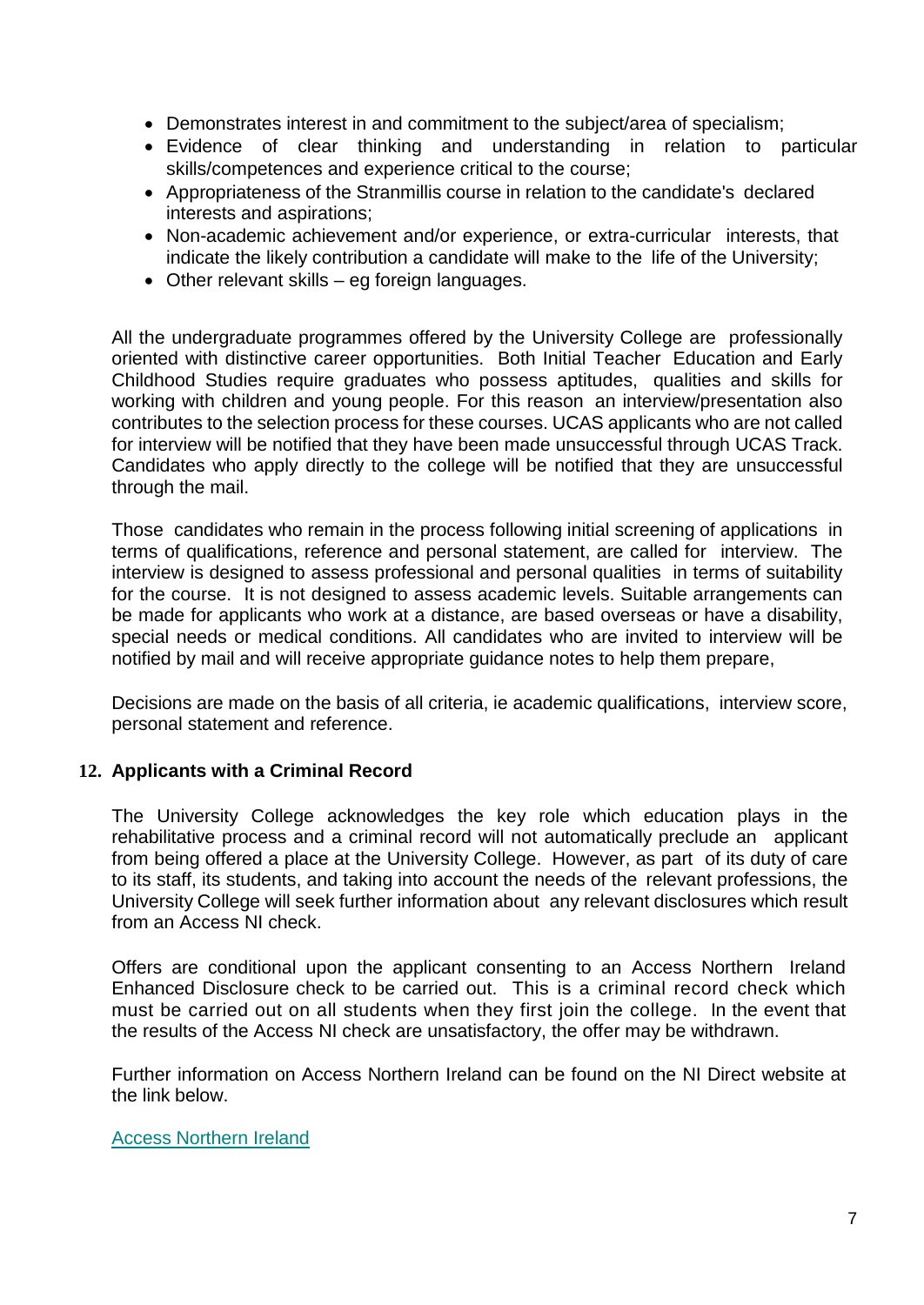- Demonstrates interest in and commitment to the subject/area of specialism;
- Evidence of clear thinking and understanding in relation to particular skills/competences and experience critical to the course;
- Appropriateness of the Stranmillis course in relation to the candidate's declared interests and aspirations;
- Non-academic achievement and/or experience, or extra-curricular interests, that indicate the likely contribution a candidate will make to the life of the University;
- Other relevant skills eg foreign languages.

All the undergraduate programmes offered by the University College are professionally oriented with distinctive career opportunities. Both Initial Teacher Education and Early Childhood Studies require graduates who possess aptitudes, qualities and skills for working with children and young people. For this reason an interview/presentation also contributes to the selection process for these courses. UCAS applicants who are not called for interview will be notified that they have been made unsuccessful through UCAS Track. Candidates who apply directly to the college will be notified that they are unsuccessful through the mail.

Those candidates who remain in the process following initial screening of applications in terms of qualifications, reference and personal statement, are called for interview. The interview is designed to assess professional and personal qualities in terms of suitability for the course. It is not designed to assess academic levels. Suitable arrangements can be made for applicants who work at a distance, are based overseas or have a disability, special needs or medical conditions. All candidates who are invited to interview will be notified by mail and will receive appropriate guidance notes to help them prepare,

Decisions are made on the basis of all criteria, ie academic qualifications, interview score, personal statement and reference.

#### **12. Applicants with a Criminal Record**

The University College acknowledges the key role which education plays in the rehabilitative process and a criminal record will not automatically preclude an applicant from being offered a place at the University College. However, as part of its duty of care to its staff, its students, and taking into account the needs of the relevant professions, the University College will seek further information about any relevant disclosures which result from an Access NI check.

Offers are conditional upon the applicant consenting to an Access Northern Ireland Enhanced Disclosure check to be carried out. This is a criminal record check which must be carried out on all students when they first join the college. In the event that the results of the Access NI check are unsatisfactory, the offer may be withdrawn.

Further information on Access Northern Ireland can be found on the NI Direct website at the link below.

#### [Access Northern Ireland](http://www.nidirect.gov.uk/accessni-criminal-record-checks)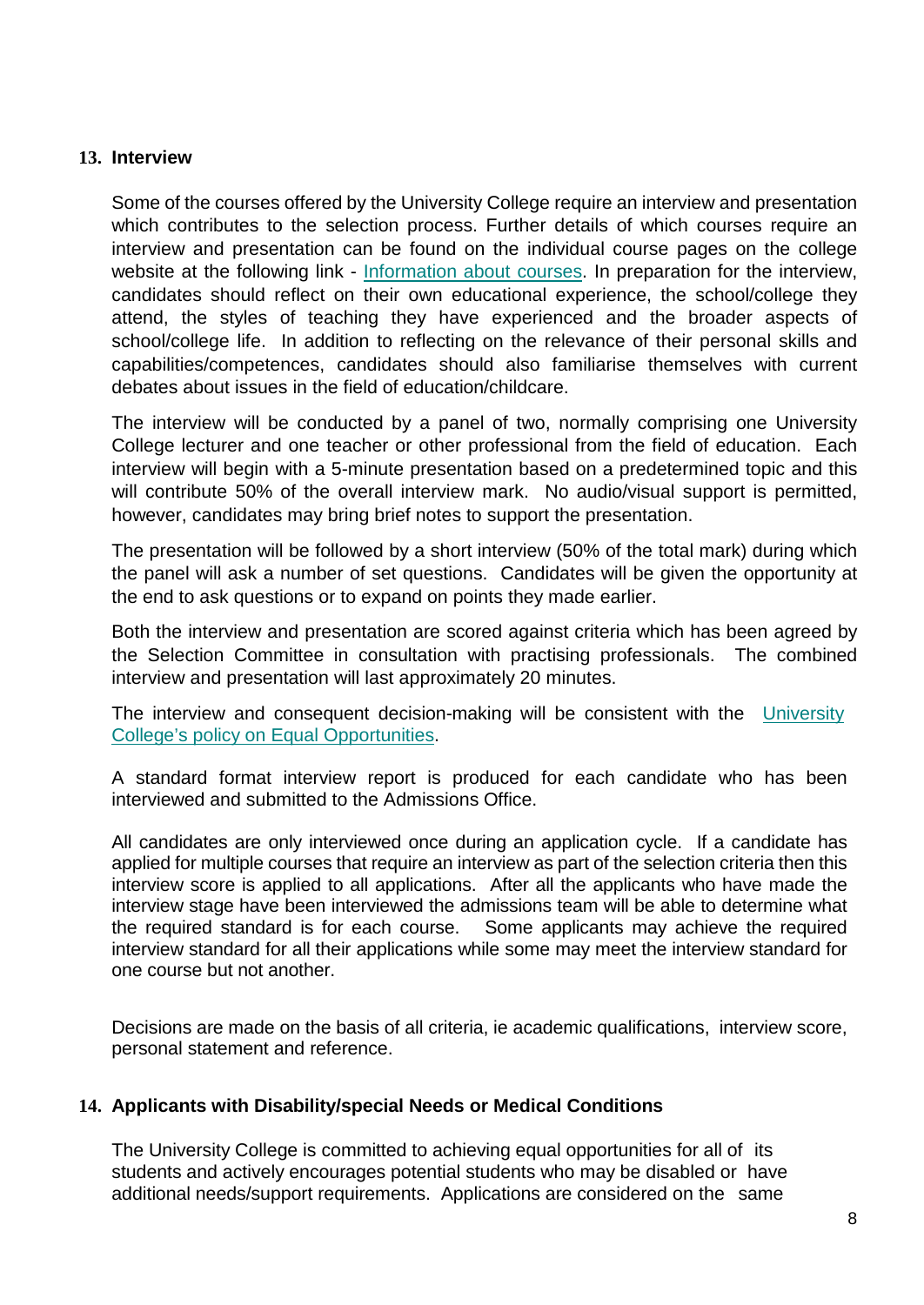#### **13. [Interview](http://www.stran.ac.uk/media/media,516105,en.pdf)**

Some of the courses offered by the University College require an interview and presentation which contributes to the selection process. Further details of which courses require an interview and presentation can be found on the individual course pages on the college website at the following link - [Information about courses.](http://www.stran.ac.uk/informationabout/courses/) In preparation for the interview, candidates should reflect on their own educational experience, the school/college they attend, the styles of teaching they have experienced and the broader aspects of school/college life. In addition to reflecting on the relevance of their personal skills and capabilities/competences, candidates should also familiarise themselves with current debates about issues in the field of education/childcare.

The interview will be conducted by a panel of two, normally comprising one University College lecturer and one teacher or other professional from the field of education. Each interview will begin with a 5-minute presentation based on a predetermined topic and this will contribute 50% of the overall interview mark. No audio/visual support is permitted, however, candidates may bring brief notes to support the presentation.

The presentation will be followed by a short interview (50% of the total mark) during which the panel will ask a number of set questions. Candidates will be given the opportunity at the end to ask questions or to expand on points they made earlier.

Both the interview and presentation are scored against criteria which has been agreed by the Selection Committee in consultation with practising professionals. The combined interview and presentation will last approximately 20 minutes.

The interview and consequent decision-making will be consistent with the [University](http://www.stran.ac.uk/media/media,81620,en.pdf) College's policy [on Equal Opportunities.](http://www.stran.ac.uk/media/media,81620,en.pdf)

A standard format interview report is produced for each candidate who has been interviewed and submitted to the Admissions Office.

All candidates are only interviewed once during an application cycle. If a candidate has applied for multiple courses that require an interview as part of the selection criteria then this interview score is applied to all applications. After all the applicants who have made the interview stage have been interviewed the admissions team will be able to determine what the required standard is for each course. Some applicants may achieve the required interview standard for all their applications while some may meet the interview standard for one course but not another.

Decisions are made on the basis of all criteria, ie academic qualifications, interview score, personal statement and reference.

#### **14. Applicants with Disability/special Needs or Medical Conditions**

The University College is committed to achieving equal opportunities for all of its students and actively encourages potential students who may be disabled or have additional needs/support requirements. Applications are considered on the same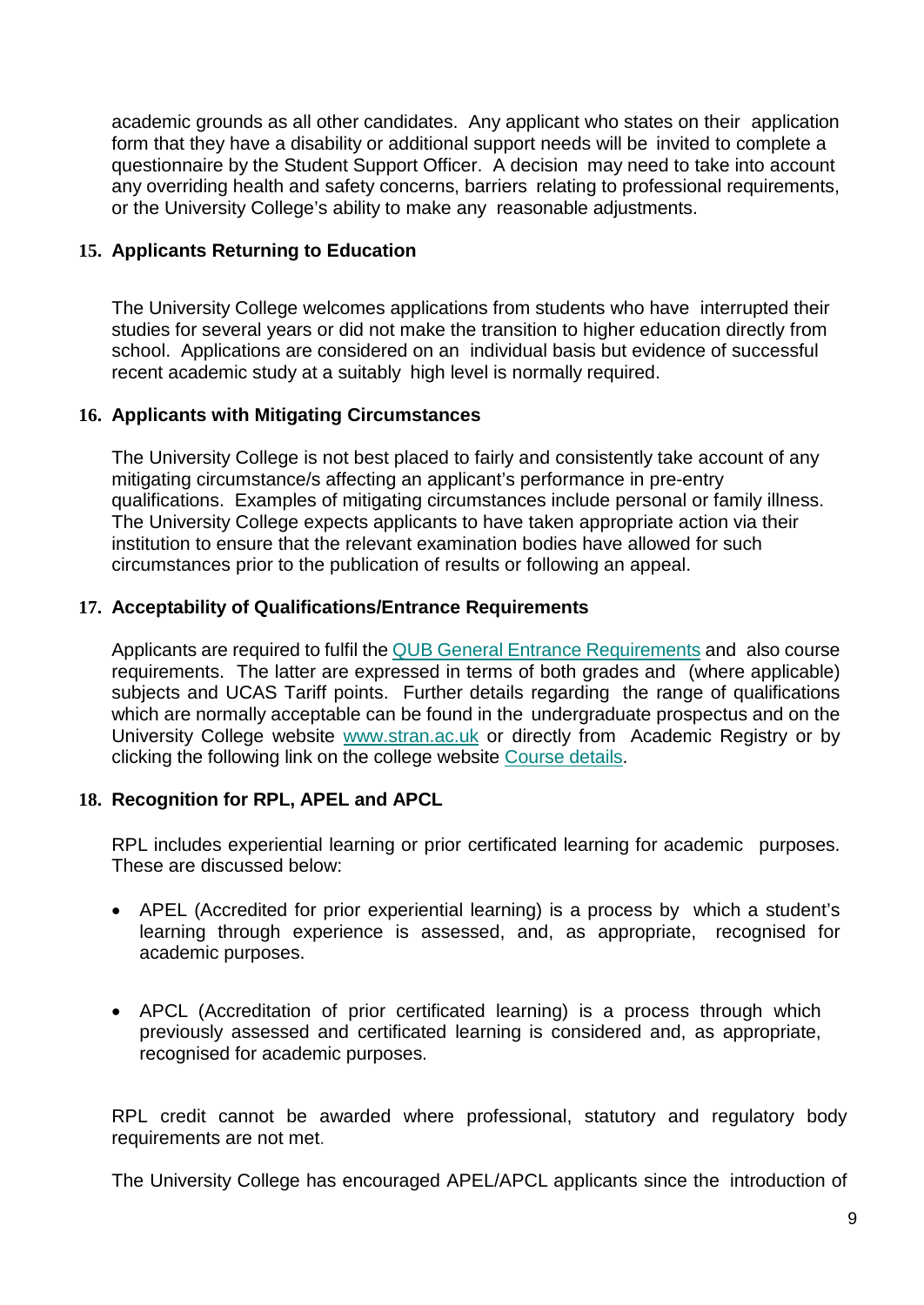academic grounds as all other candidates. Any applicant who states on their application form that they have a disability or additional support needs will be invited to complete a questionnaire by the Student Support Officer. A decision may need to take into account any overriding health and safety concerns, barriers relating to professional requirements, or the University College's ability to make any reasonable adjustments.

### **15. Applicants Returning to Education**

The University College welcomes applications from students who have interrupted their studies for several years or did not make the transition to higher education directly from school. Applications are considered on an individual basis but evidence of successful recent academic study at a suitably high level is normally required.

### **16. Applicants with Mitigating Circumstances**

The University College is not best placed to fairly and consistently take account of any mitigating circumstance/s affecting an applicant's performance in pre-entry qualifications. Examples of mitigating circumstances include personal or family illness. The University College expects applicants to have taken appropriate action via their institution to ensure that the relevant examination bodies have allowed for such circumstances prior to the publication of results or following an appeal.

### **17. Acceptability of Qualifications/Entrance Requirements**

Applicants are required to fulfil the QUB General [Entrance Requirements](http://www.qub.ac.uk/directorates/AcademicAffairs/GeneralRegulations/RegulationsforStudents/2-4UndergraduateStudents/2EntranceRequirements/) and also course requirements. The latter are expressed in terms of both grades and (where applicable) subjects and UCAS Tariff points. Further details regarding the range of qualifications which are normally acceptable can be found in the undergraduate prospectus and on the University College website [www.stran.ac.uk](http://www.stran.ac.uk/) or directly from Academic Registry or by clicking the following link on the college website [Course details.](http://www.stran.ac.uk/informationabout/courses/)

## **18. Recognition for RPL, APEL and APCL**

RPL includes experiential learning or prior certificated learning for academic purposes. These are discussed below:

- APEL (Accredited for prior experiential learning) is a process by which a student's learning through experience is assessed, and, as appropriate, recognised for academic purposes.
- APCL (Accreditation of prior certificated learning) is a process through which previously assessed and certificated learning is considered and, as appropriate, recognised for academic purposes.

RPL credit cannot be awarded where professional, statutory and regulatory body requirements are not met.

The University College has encouraged APEL/APCL applicants since the introduction of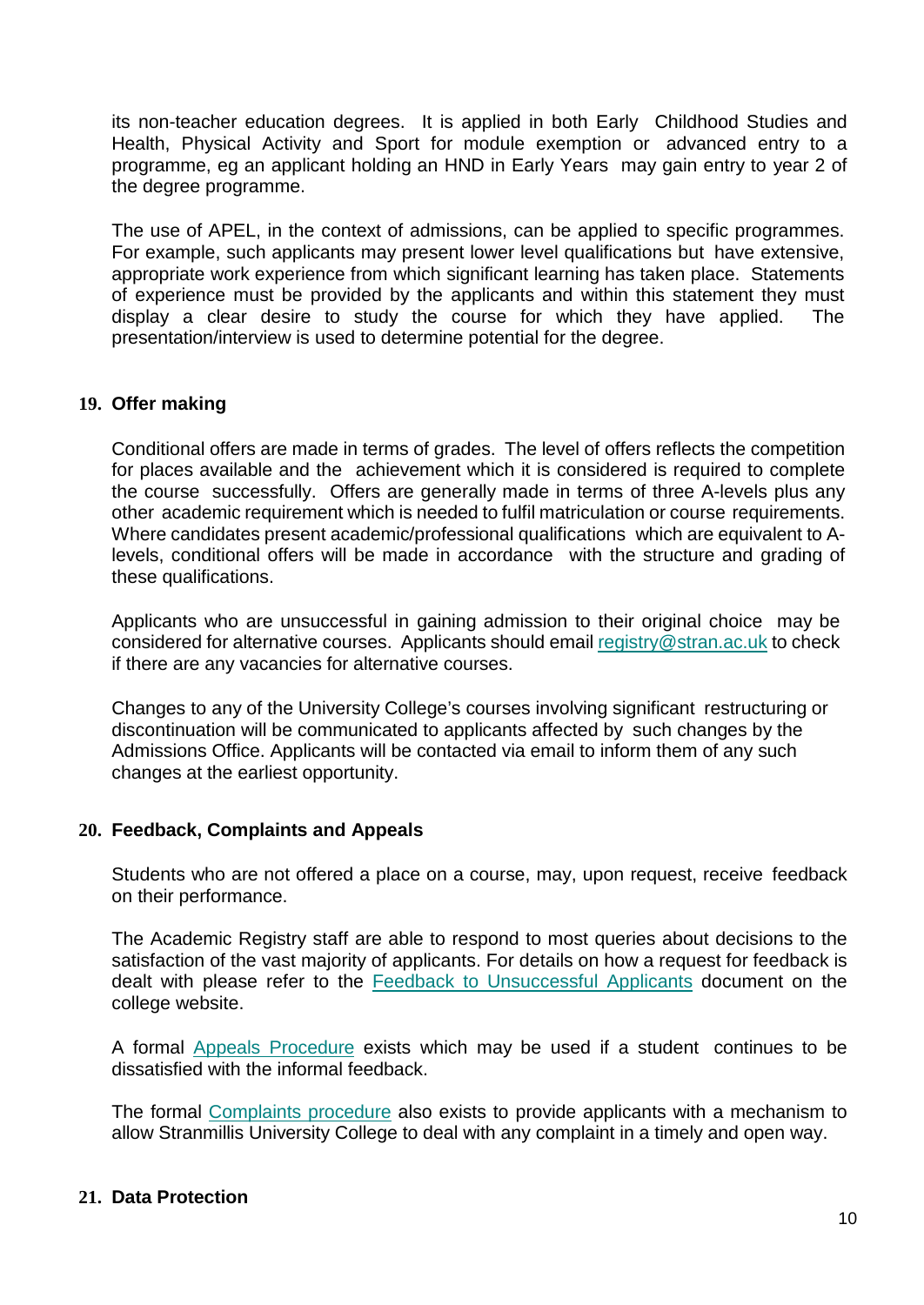its non-teacher education degrees. It is applied in both Early Childhood Studies and Health, Physical Activity and Sport for module exemption or advanced entry to a programme, eg an applicant holding an HND in Early Years may gain entry to year 2 of the degree programme.

The use of APEL, in the context of admissions, can be applied to specific programmes. For example, such applicants may present lower level qualifications but have extensive, appropriate work experience from which significant learning has taken place. Statements of experience must be provided by the applicants and within this statement they must display a clear desire to study the course for which they have applied. The presentation/interview is used to determine potential for the degree.

#### **19. Offer making**

Conditional offers are made in terms of grades. The level of offers reflects the competition for places available and the achievement which it is considered is required to complete the course successfully. Offers are generally made in terms of three A-levels plus any other academic requirement which is needed to fulfil matriculation or course requirements. Where candidates present academic/professional qualifications which are equivalent to Alevels, conditional offers will be made in accordance with the structure and grading of these qualifications.

Applicants who are unsuccessful in gaining admission to their original choice may be considered for alternative courses. Applicants should email [registry@stran.ac.uk](mailto:registry@stran.ac.uk) to check if there are any vacancies for alternative courses.

Changes to any of the University College's courses involving significant restructuring or discontinuation will be communicated to applicants affected by such changes by the Admissions Office. Applicants will be contacted via email to inform them of any such changes at the earliest opportunity.

#### **20. Feedback, Complaints and Appeals**

Students who are not offered a place on a course, may, upon request, receive feedback on their performance.

The Academic Registry staff are able to respond to most queries about decisions to the satisfaction of the vast majority of applicants. For details on how a request for feedback is dealt with please refer to the [Feedback to Unsuccessful Applicants](http://www.stran.ac.uk/informationabout/theuniversitycollege/collegepoliciesa-z/) document on the college website.

A formal Appeals [Procedure](http://www.stran.ac.uk/media/media,500556,en.pdf) exists which may be used if a student continues to be dissatisfied with the informal feedback.

The formal [Complaints procedure](http://www.stran.ac.uk/media/media,471994,en.pdf) also exists to provide applicants with a mechanism to allow Stranmillis University College to deal with any complaint in a timely and open way.

#### **21. Data Protection**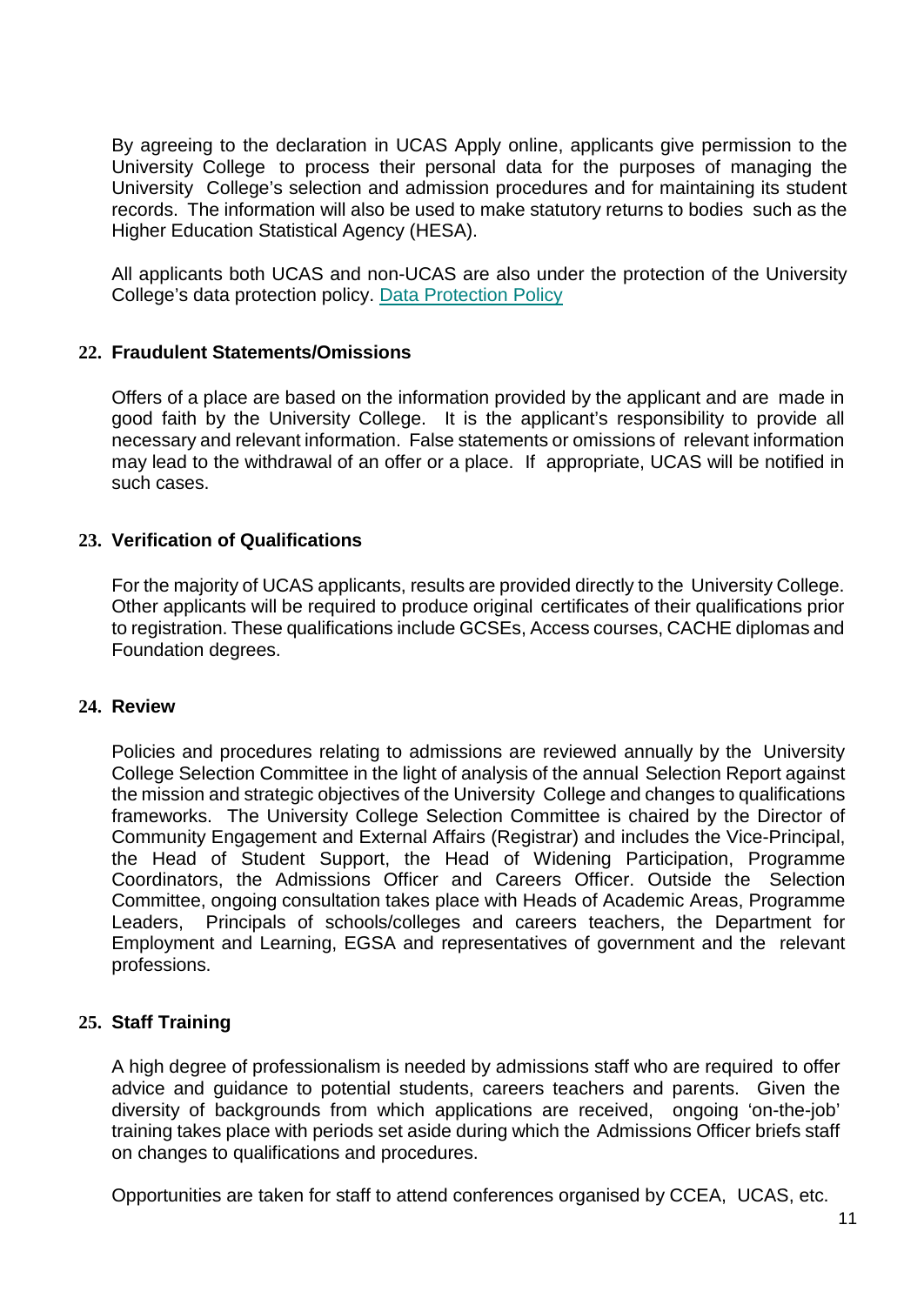By agreeing to the declaration in UCAS Apply online, applicants give permission to the University College to process their personal data for the purposes of managing the University College's selection and admission procedures and for maintaining its student records. The information will also be used to make statutory returns to bodies such as the Higher Education Statistical Agency (HESA).

All applicants both UCAS and non-UCAS are also under the protection of the University College's data protection policy. [Data Protection Policy](http://www.stran.ac.uk/media/media,396312,en.pdf)

### **22. Fraudulent Statements/Omissions**

Offers of a place are based on the information provided by the applicant and are made in good faith by the University College. It is the applicant's responsibility to provide all necessary and relevant information. False statements or omissions of relevant information may lead to the withdrawal of an offer or a place. If appropriate, UCAS will be notified in such cases.

### **23. Verification of Qualifications**

For the majority of UCAS applicants, results are provided directly to the University College. Other applicants will be required to produce original certificates of their qualifications prior to registration. These qualifications include GCSEs, Access courses, CACHE diplomas and Foundation degrees.

#### **24. Review**

Policies and procedures relating to admissions are reviewed annually by the University College Selection Committee in the light of analysis of the annual Selection Report against the mission and strategic objectives of the University College and changes to qualifications frameworks. The University College Selection Committee is chaired by the Director of Community Engagement and External Affairs (Registrar) and includes the Vice-Principal, the Head of Student Support, the Head of Widening Participation, Programme Coordinators, the Admissions Officer and Careers Officer. Outside the Selection Committee, ongoing consultation takes place with Heads of Academic Areas, Programme Leaders, Principals of schools/colleges and careers teachers, the Department for Employment and Learning, EGSA and representatives of government and the relevant professions.

#### **25. Staff Training**

A high degree of professionalism is needed by admissions staff who are required to offer advice and guidance to potential students, careers teachers and parents. Given the diversity of backgrounds from which applications are received, ongoing 'on-the-job' training takes place with periods set aside during which the Admissions Officer briefs staff on changes to qualifications and procedures.

Opportunities are taken for staff to attend conferences organised by CCEA, UCAS, etc.